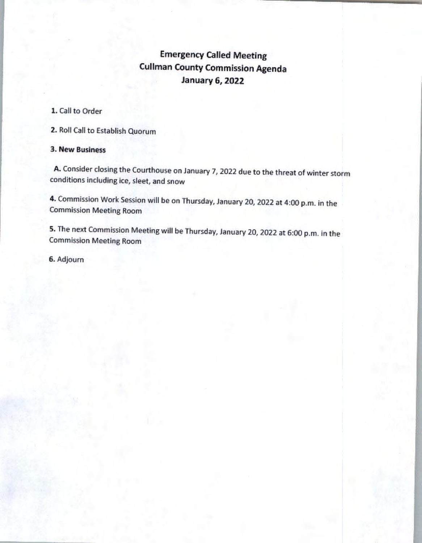# **Emergency** Called **Meeting**  Cullman County **Commission Agenda January 6, 2022**

## 1. Gall to Order

2. Roll Call to Establish Quorum

## 3. New Business

A. Consider closing the Courthouse on January 7, 2022 due to the threat of winter storm conditions including ice, sleet, and snow

4. Commission Work Session will be on Thursday, January 20, 2022 at 4:00 p.m. in the Commission Meeting Room

5. The next Commission Meeting will be Thursday, January 20, 2022 at 6:00 p.m. in the Commission Meeting Room

6. Adjourn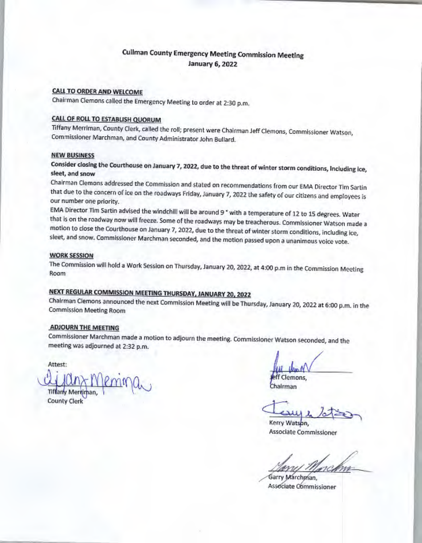## CUiiman County Emergency Meeting Commission Meeting January 6, 2022

## CALL TO ORDER AND WELCOME

Chairman Clemons called the Emergency Meeting to order at 2:30 p.m.

## CALL OF ROLL TO ESTABLISH QUORUM

Tiffany Merriman, County Clerk, called the roll; present were Chairman Jeff Clemons, Commissioner Watson, Commissioner Marchman, and County Administrator John Bullard.

#### **NEW BUSINESS**

Consider closing the Courthouse on January 7, 2022, due to the threat of winter storm conditions, Including ice, sleet, and snow

Chairman Clemons addressed the Commission and stated on recommendations from our EMA Director Tim Sartin that due to the concern of ice on the roadways Friday, January 7, 2022 the safety of our citizens and employees is our number one priority.

EMA Director Tim Sartin advised the windchill will be around 9 ° with a temperature of 12 to 15 degrees. Water that is on the roadway now will freeze. Some of the roadways may be treacherous. Commissioner Watson made a motion to close the Courthouse on January 7, 2022, due to the threat of winter storm conditions, including ice, sleet, and snow. Commissioner Marchman seconded, and the motion passed upon a unanimous voice vote.

#### WORK SESSION

The Commission will hold a Work Session on Thursday, January 20, 2022, at 4:00 p.m in the Commission Meeting Room

# NEXT REGULAR COMMISSION MEETING THURSDAY, JANUARY 20, 2022

Chalrman Clemons announced the next Commission Meeting will be Thursday, January 20, 2022 at 6:00 p.m. in the Commission Meeting Room

#### **ADJOURN THE MEETING**

Commissioner Marchman made a motion to adjourn the meeting. Commissioner Watson seconded, and the meeting was adjourned at 2:32 p.m.

Attest:

Tiffany Mertiman

County Clerk

eff Clemons, Chairman

 $\frac{1}{\frac{1}{\text{Kerry Watson}}}\times \frac{1}{\text{Cov}}$ 

Associate Commissioner

Garry Marchman. Associate Commissioner